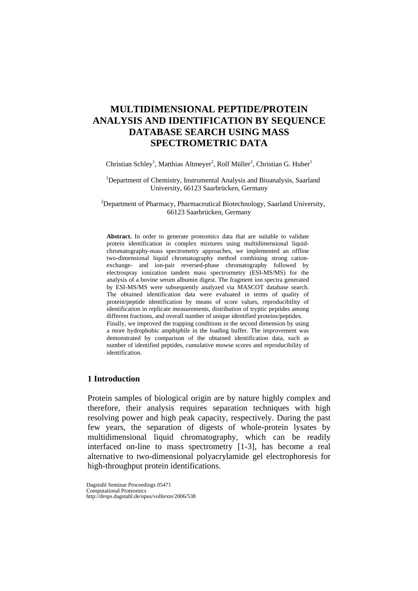# **MULTIDIMENSIONAL PEPTIDE/PROTEIN ANALYSIS AND IDENTIFICATION BY SEQUENCE DATABASE SEARCH USING MASS SPECTROMETRIC DATA**

Christian Schley<sup>1</sup>, Matthias Altmeyer<sup>2</sup>, Rolf Müller<sup>2</sup>, Christian G. Huber<sup>1</sup>

<sup>1</sup>Department of Chemistry, Instrumental Analysis and Bioanalysis, Saarland University, 66123 Saarbrücken, Germany

<sup>2</sup>Department of Pharmacy, Pharmaceutical Biotechnology, Saarland University, 66123 Saarbrücken, Germany

**Abstract.** In order to generate proteomics data that are suitable to validate protein identification in complex mixtures using multidimensional liquidchromatography-mass spectrometry approaches, we implemented an offline two-dimensional liquid chromatography method combining strong cationexchange- and ion-pair reversed-phase chromatography followed by electrospray ionization tandem mass spectrormetry (ESI-MS/MS) for the analysis of a bovine serum albumin digest. The fragment ion spectra generated by ESI-MS/MS were subsequently analyzed via MASCOT database search. The obtained identification data were evaluated in terms of quality of protein/peptide identification by means of score values, reproducibility of identification in replicate measurements, distribution of tryptic peptides among different fractions, and overall number of unique identified proteins/peptides. Finally, we improved the trapping conditions in the second dimension by using a more hydrophobic amphiphile in the loading buffer. The improvement was demonstrated by comparison of the obtained identification data, such as number of identified peptides, cumulative mowse scores and reproducibility of identification.

#### **1 Introduction**

Protein samples of biological origin are by nature highly complex and therefore, their analysis requires separation techniques with high resolving power and high peak capacity, respectively. During the past few years, the separation of digests of whole-protein lysates by multidimensional liquid chromatography, which can be readily interfaced on-line to mass spectrometry [1-3], has become a real alternative to two-dimensional polyacrylamide gel electrophoresis for high-throughput protein identifications.

Dagstuhl Seminar Proceedings 05471

Computational Proteomics http://drops.dagstuhl.de/opus/volltexte/2006/538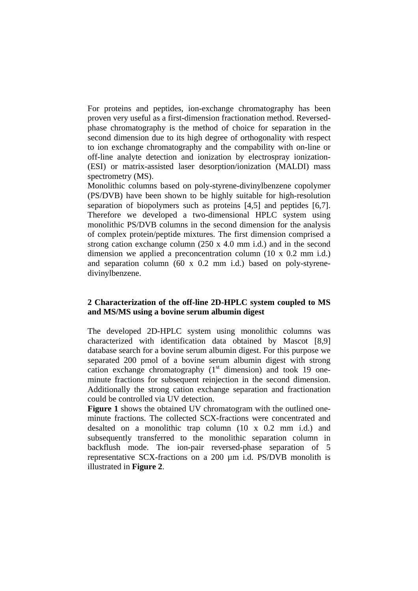For proteins and peptides, ion-exchange chromatography has been proven very useful as a first-dimension fractionation method. Reversedphase chromatography is the method of choice for separation in the second dimension due to its high degree of orthogonality with respect to ion exchange chromatography and the compability with on-line or off-line analyte detection and ionization by electrospray ionization- (ESI) or matrix-assisted laser desorption/ionization (MALDI) mass spectrometry (MS).

Monolithic columns based on poly-styrene-divinylbenzene copolymer (PS/DVB) have been shown to be highly suitable for high-resolution separation of biopolymers such as proteins [4,5] and peptides [6,7]. Therefore we developed a two-dimensional HPLC system using monolithic PS/DVB columns in the second dimension for the analysis of complex protein/peptide mixtures. The first dimension comprised a strong cation exchange column (250 x 4.0 mm i.d.) and in the second dimension we applied a preconcentration column (10 x 0.2 mm i.d.) and separation column (60 x 0.2 mm i.d.) based on poly-styrenedivinylbenzene.

## **2 Characterization of the off-line 2D-HPLC system coupled to MS and MS/MS using a bovine serum albumin digest**

The developed 2D-HPLC system using monolithic columns was characterized with identification data obtained by Mascot [8,9] database search for a bovine serum albumin digest. For this purpose we separated 200 pmol of a bovine serum albumin digest with strong cation exchange chromatography  $(1<sup>st</sup>$  dimension) and took 19 oneminute fractions for subsequent reinjection in the second dimension. Additionally the strong cation exchange separation and fractionation could be controlled via UV detection.

**Figure 1** shows the obtained UV chromatogram with the outlined oneminute fractions. The collected SCX-fractions were concentrated and desalted on a monolithic trap column (10 x 0.2 mm i.d.) and subsequently transferred to the monolithic separation column in backflush mode. The ion-pair reversed-phase separation of 5 representative SCX-fractions on a 200 µm i.d. PS/DVB monolith is illustrated in **Figure 2**.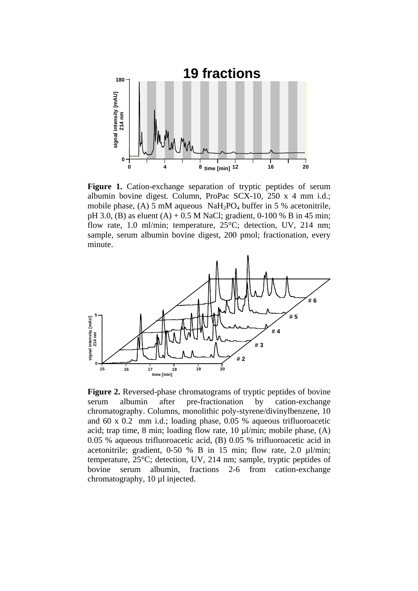

**Figure 1.** Cation-exchange separation of tryptic peptides of serum albumin bovine digest. Column, ProPac SCX-10, 250 x 4 mm i.d.; mobile phase, (A) 5 mM aqueous  $NaH<sub>2</sub>PO<sub>4</sub> buffer in 5 % acetonitrile,$ pH 3.0, (B) as eluent (A) + 0.5 M NaCl; gradient, 0-100 % B in 45 min; flow rate, 1.0 ml/min; temperature, 25°C; detection, UV, 214 nm; sample, serum albumin bovine digest, 200 pmol; fractionation, every minute.



**Figure 2.** Reversed-phase chromatograms of tryptic peptides of bovine serum albumin after pre-fractionation by cation-exchange chromatography. Columns, monolithic poly-styrene/divinylbenzene, 10 and 60 x 0.2 mm i.d.; loading phase, 0.05 % aqueous trifluoroacetic acid; trap time, 8 min; loading flow rate, 10 µl/min; mobile phase, (A) 0.05 % aqueous trifluoroacetic acid, (B) 0.05 % trifluoroacetic acid in acetonitrile; gradient, 0-50 % B in 15 min; flow rate, 2.0 µl/min; temperature, 25°C; detection, UV, 214 nm; sample, tryptic peptides of bovine serum albumin, fractions 2-6 from cation-exchange chromatography, 10 µl injected.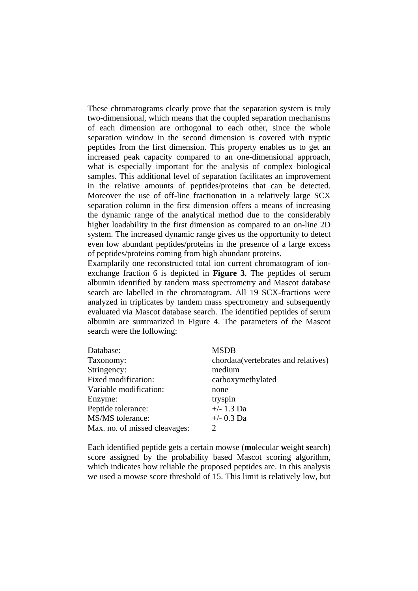These chromatograms clearly prove that the separation system is truly two-dimensional, which means that the coupled separation mechanisms of each dimension are orthogonal to each other, since the whole separation window in the second dimension is covered with tryptic peptides from the first dimension. This property enables us to get an increased peak capacity compared to an one-dimensional approach, what is especially important for the analysis of complex biological samples. This additional level of separation facilitates an improvement in the relative amounts of peptides/proteins that can be detected. Moreover the use of off-line fractionation in a relatively large SCX separation column in the first dimension offers a means of increasing the dynamic range of the analytical method due to the considerably higher loadability in the first dimension as compared to an on-line 2D system. The increased dynamic range gives us the opportunity to detect even low abundant peptides/proteins in the presence of a large excess of peptides/proteins coming from high abundant proteins.

Examplarily one reconstructed total ion current chromatogram of ionexchange fraction 6 is depicted in **Figure 3**. The peptides of serum albumin identified by tandem mass spectrometry and Mascot database search are labelled in the chromatogram. All 19 SCX-fractions were analyzed in triplicates by tandem mass spectrometry and subsequently evaluated via Mascot database search. The identified peptides of serum albumin are summarized in Figure 4. The parameters of the Mascot search were the following:

| Database:                     | <b>MSDB</b>                          |
|-------------------------------|--------------------------------------|
| Taxonomy:                     | chordata (vertebrates and relatives) |
| Stringency:                   | medium                               |
| Fixed modification:           | carboxymethylated                    |
| Variable modification:        | none                                 |
| Enzyme:                       | tryspin                              |
| Peptide tolerance:            | $+/- 1.3$ Da                         |
| MS/MS tolerance:              | $+/- 0.3$ Da                         |
| Max. no. of missed cleavages: | 2                                    |

Each identified peptide gets a certain mowse (**mo**lecular **w**eight **se**arch) score assigned by the probability based Mascot scoring algorithm, which indicates how reliable the proposed peptides are. In this analysis we used a mowse score threshold of 15. This limit is relatively low, but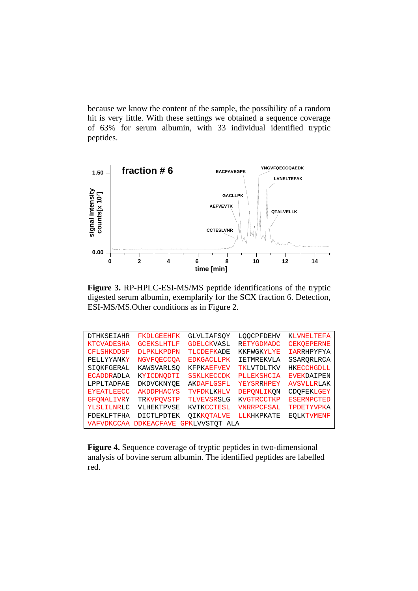because we know the content of the sample, the possibility of a random hit is very little. With these settings we obtained a sequence coverage of 63% for serum albumin, with 33 individual identified tryptic peptides.



**Figure 3.** RP-HPLC-ESI-MS/MS peptide identifications of the tryptic digested serum albumin, exemplarily for the SCX fraction 6. Detection, ESI-MS/MS.Other conditions as in Figure 2.

| <b>DTHKSEIAHR</b> | <b>FKDLGEEHFK</b> | <b>GLVLIAFSOY</b>     | <b>LOOCPFDEHV</b> | <b>KLVNELTEFA</b> |
|-------------------|-------------------|-----------------------|-------------------|-------------------|
| <b>KTCVADESHA</b> | <b>GCEKSLHTLF</b> | <b>GDELCKVASL</b>     | <b>RETYGDMADC</b> | <b>CEKOEPERNE</b> |
| <b>CFLSHKDDSP</b> | <b>DLPKLKPDPN</b> | <b>TLCDEFKADE</b>     | <b>KKFWGKYLYE</b> | <b>IARRHPYFYA</b> |
| PELLYYANKY        | <b>NGVFOECCOA</b> | <b>EDKGACLLPK</b>     | <b>IETMREKVLA</b> | SSARORLRCA        |
| SIOKFGERAL        | KAWSVARLSO        | <b>KFPKAEFVEV</b>     | TKLVTDLTKV        | <b>HKECCHGDLL</b> |
| <b>ECADDRADLA</b> | KYICDNODTI        | <b>SSKLKECCDK</b>     | <b>PLLEKSHCIA</b> | <b>EVEKDAIPEN</b> |
| LPPLTADFAE        | DKDVCKNYOE        | AKDAFLGSFL            | <b>YEYSRRHPEY</b> | <b>AVSVLLRLAK</b> |
| <b>EYEATLEECC</b> | <b>AKDDPHACYS</b> | TVFDKLKHLV            | DEPONLIKON        | CDOFEKLGEY        |
| <b>GFONALIVRY</b> | TRKVPOVSTP        | TLVEVSRSLG            | <b>KVGTRCCTKP</b> | <b>ESERMPCTED</b> |
| YLSLILNRLC        | VLHEKTPVSE        | KVTKCCTESL            | <b>VNRRPCFSAL</b> | TPDETYVPKA        |
| FDEKLFTFHA        | <b>DICTLPDTEK</b> | OIKKOTALVE            | LLKHKPKATE        | <b>EOLKTVMENF</b> |
| VAFVDKCCAA        | <b>DDKEACFAVE</b> | <b>GPKLVVSTOT ALA</b> |                   |                   |

**Figure 4.** Sequence coverage of tryptic peptides in two-dimensional analysis of bovine serum albumin. The identified peptides are labelled red.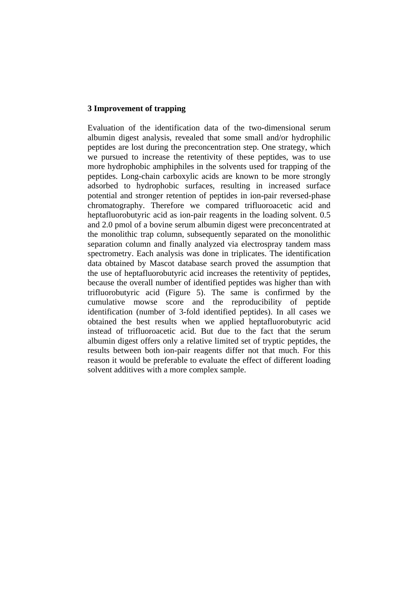## **3 Improvement of trapping**

Evaluation of the identification data of the two-dimensional serum albumin digest analysis, revealed that some small and/or hydrophilic peptides are lost during the preconcentration step. One strategy, which we pursued to increase the retentivity of these peptides, was to use more hydrophobic amphiphiles in the solvents used for trapping of the peptides. Long-chain carboxylic acids are known to be more strongly adsorbed to hydrophobic surfaces, resulting in increased surface potential and stronger retention of peptides in ion-pair reversed-phase chromatography. Therefore we compared trifluoroacetic acid and heptafluorobutyric acid as ion-pair reagents in the loading solvent. 0.5 and 2.0 pmol of a bovine serum albumin digest were preconcentrated at the monolithic trap column, subsequently separated on the monolithic separation column and finally analyzed via electrospray tandem mass spectrometry. Each analysis was done in triplicates. The identification data obtained by Mascot database search proved the assumption that the use of heptafluorobutyric acid increases the retentivity of peptides, because the overall number of identified peptides was higher than with trifluorobutyric acid (Figure 5). The same is confirmed by the cumulative mowse score and the reproducibility of peptide identification (number of 3-fold identified peptides). In all cases we obtained the best results when we applied heptafluorobutyric acid instead of trifluoroacetic acid. But due to the fact that the serum albumin digest offers only a relative limited set of tryptic peptides, the results between both ion-pair reagents differ not that much. For this reason it would be preferable to evaluate the effect of different loading solvent additives with a more complex sample.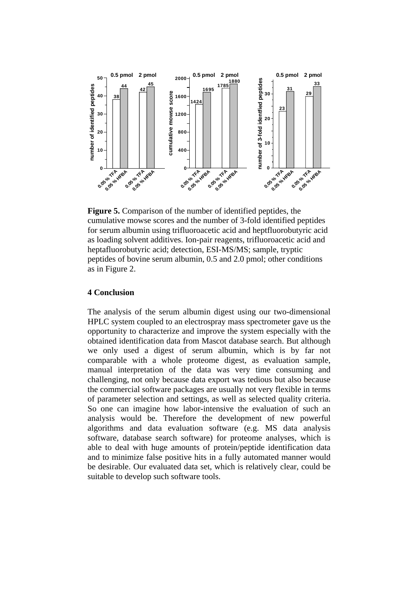

**Figure 5.** Comparison of the number of identified peptides, the cumulative mowse scores and the number of 3-fold identified peptides for serum albumin using trifluoroacetic acid and heptfluorobutyric acid as loading solvent additives. Ion-pair reagents, trifluoroacetic acid and heptafluorobutyric acid; detection, ESI-MS/MS; sample, tryptic peptides of bovine serum albumin, 0.5 and 2.0 pmol; other conditions as in Figure 2.

#### **4 Conclusion**

The analysis of the serum albumin digest using our two-dimensional HPLC system coupled to an electrospray mass spectrometer gave us the opportunity to characterize and improve the system especially with the obtained identification data from Mascot database search. But although we only used a digest of serum albumin, which is by far not comparable with a whole proteome digest, as evaluation sample, manual interpretation of the data was very time consuming and challenging, not only because data export was tedious but also because the commercial software packages are usually not very flexible in terms of parameter selection and settings, as well as selected quality criteria. So one can imagine how labor-intensive the evaluation of such an analysis would be. Therefore the development of new powerful algorithms and data evaluation software (e.g. MS data analysis software, database search software) for proteome analyses, which is able to deal with huge amounts of protein/peptide identification data and to minimize false positive hits in a fully automated manner would be desirable. Our evaluated data set, which is relatively clear, could be suitable to develop such software tools.